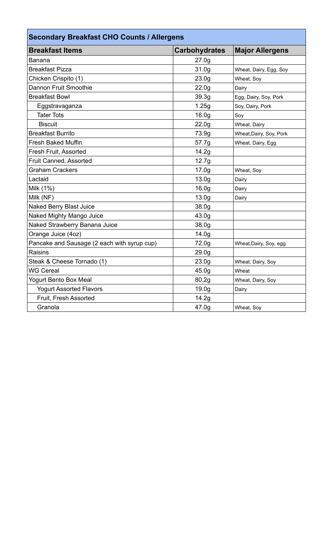| <b>Secondary Breakfast CHO Counts / Allergens</b> |                      |                         |  |  |
|---------------------------------------------------|----------------------|-------------------------|--|--|
| <b>Breakfast Items</b>                            | <b>Carbohydrates</b> | <b>Major Allergens</b>  |  |  |
| <b>Banana</b>                                     | 27.0 <sub>g</sub>    |                         |  |  |
| <b>Breakfast Pizza</b>                            | 31.0 <sub>g</sub>    | Wheat, Dairy, Egg, Soy  |  |  |
| Chicken Crispito (1)                              | 23.0 <sub>g</sub>    | Wheat, Soy              |  |  |
| Dannon Fruit Smoothie                             | 22.0 <sub>g</sub>    | Dairy                   |  |  |
| <b>Breakfast Bowl</b>                             | 39.3g                | Egg, Dairy, Soy, Pork   |  |  |
| Eggstravaganza                                    | 1.25g                | Soy, Dairy, Pork        |  |  |
| <b>Tater Tots</b>                                 | 16.0 <sub>g</sub>    | Soy                     |  |  |
| <b>Biscuit</b>                                    | 22.0 <sub>g</sub>    | Wheat, Dairy            |  |  |
| <b>Breakfast Burrito</b>                          | 73.9g                | Wheat, Dairy, Soy, Pork |  |  |
| Fresh Baked Muffin                                | 57.7g                | Wheat, Dairy, Egg       |  |  |
| Fresh Fruit, Assorted                             | 14.2g                |                         |  |  |
| Fruit Canned, Assorted                            | 12.7g                |                         |  |  |
| <b>Graham Crackers</b>                            | 17.0 <sub>g</sub>    | Wheat, Soy              |  |  |
| Lactaid                                           | 13.0g                | Dairy                   |  |  |
| Milk (1%)                                         | 16.0 <sub>g</sub>    | Dairy                   |  |  |
| Milk (NF)                                         | 13.0 <sub>g</sub>    | Dairy                   |  |  |
| <b>Naked Berry Blast Juice</b>                    | 38.0g                |                         |  |  |
| Naked Mighty Mango Juice                          | 43.0g                |                         |  |  |
| Naked Strawberry Banana Juice                     | 38.0g                |                         |  |  |
| Orange Juice (4oz)                                | 14.0 <sub>g</sub>    |                         |  |  |
| Pancake and Sausage (2 each with syrup cup)       | 72.0g                | Wheat, Dairy, Soy, egg  |  |  |
| <b>Raisins</b>                                    | 29.0 <sub>g</sub>    |                         |  |  |
| Steak & Cheese Tornado (1)                        | 23.0 <sub>g</sub>    | Wheat, Dairy, Soy       |  |  |
| <b>WG Cereal</b>                                  | 45.0g                | Wheat                   |  |  |
| Yogurt Bento Box Meal                             | 80.2g                | Wheat, Dairy, Soy       |  |  |
| <b>Yogurt Assorted Flavors</b>                    | 19.0 <sub>g</sub>    | Dairy                   |  |  |
| Fruit, Fresh Assorted                             | 14.2g                |                         |  |  |
| Granola                                           | 47.0g                | Wheat, Soy              |  |  |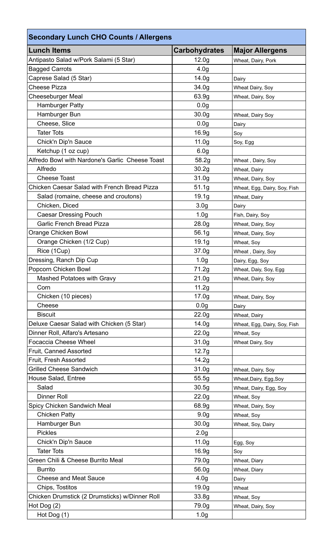| <b>Secondary Lunch CHO Counts / Allergens</b>   |                      |                              |  |  |
|-------------------------------------------------|----------------------|------------------------------|--|--|
| <b>Lunch Items</b>                              | <b>Carbohydrates</b> | <b>Major Allergens</b>       |  |  |
| Antipasto Salad w/Pork Salami (5 Star)          | 12.0 <sub>g</sub>    | Wheat, Dairy, Pork           |  |  |
| <b>Bagged Carrots</b>                           | 4.0 <sub>g</sub>     |                              |  |  |
| Caprese Salad (5 Star)                          | 14.0 <sub>g</sub>    | Dairy                        |  |  |
| <b>Cheese Pizza</b>                             | 34.0 <sub>g</sub>    | Wheat Dairy, Soy             |  |  |
| <b>Cheeseburger Meal</b>                        | 63.9g                | Wheat, Dairy, Soy            |  |  |
| <b>Hamburger Patty</b>                          | 0.0 <sub>g</sub>     |                              |  |  |
| Hamburger Bun                                   | 30.0 <sub>g</sub>    | Wheat, Dairy Soy             |  |  |
| Cheese, Slice                                   | 0.0 <sub>g</sub>     | Dairy                        |  |  |
| <b>Tater Tots</b>                               | 16.9g                | Soy                          |  |  |
| Chick'n Dip'n Sauce                             | 11.0 <sub>g</sub>    | Soy, Egg                     |  |  |
| Ketchup (1 oz cup)                              | 6.0 <sub>g</sub>     |                              |  |  |
| Alfredo Bowl with Nardone's Garlic Cheese Toast | 58.2g                | Wheat, Dairy, Soy            |  |  |
| Alfredo                                         | 30.2g                | Wheat, Dairy                 |  |  |
| <b>Cheese Toast</b>                             | 31.0g                | Wheat, Dairy, Soy            |  |  |
| Chicken Caesar Salad with French Bread Pizza    | 51.1g                | Wheat, Egg, Dairy, Soy, Fish |  |  |
| Salad (romaine, cheese and croutons)            | 19.1g                | Wheat, Dairy                 |  |  |
| Chicken, Diced                                  | 3.0 <sub>g</sub>     | Dairy                        |  |  |
| <b>Caesar Dressing Pouch</b>                    | 1.0 <sub>g</sub>     | Fish, Dairy, Soy             |  |  |
| <b>Garlic French Bread Pizza</b>                | 28.0 <sub>g</sub>    | Wheat, Dairy, Soy            |  |  |
| Orange Chicken Bowl                             | 56.1g                | Wheat, Dairy, Soy            |  |  |
| Orange Chicken (1/2 Cup)                        | 19.1 <sub>g</sub>    | Wheat, Soy                   |  |  |
| Rice (1Cup)                                     | 37.0g                | Wheat, Dairy, Soy            |  |  |
| Dressing, Ranch Dip Cup                         | 1.0 <sub>g</sub>     | Dairy, Egg, Soy              |  |  |
| Popcorn Chicken Bowl                            | 71.2g                | Wheat, Daiy, Soy, Egg        |  |  |
| <b>Mashed Potatoes with Gravy</b>               | 21.0 <sub>g</sub>    | Wheat, Dairy, Soy            |  |  |
| Corn                                            | 11.2g                |                              |  |  |
| Chicken (10 pieces)                             | 17.0g                | Wheat, Dairy, Soy            |  |  |
| Cheese                                          | 0.0 <sub>g</sub>     | Dairy                        |  |  |
| <b>Biscuit</b>                                  | 22.0 <sub>q</sub>    | Wheat, Dairy                 |  |  |
| Deluxe Caesar Salad with Chicken (5 Star)       | 14.0 <sub>g</sub>    | Wheat, Egg, Dairy, Soy, Fish |  |  |
| Dinner Roll, Alfaro's Artesano                  | 22.0 <sub>g</sub>    | Wheat, Soy                   |  |  |
| <b>Focaccia Cheese Wheel</b>                    | 31.0 <sub>g</sub>    | Wheat Dairy, Soy             |  |  |
| Fruit, Canned Assorted                          | 12.7g                |                              |  |  |
| Fruit, Fresh Assorted                           | 14.2g                |                              |  |  |
| <b>Grilled Cheese Sandwich</b>                  | 31.0 <sub>g</sub>    | Wheat, Dairy, Soy            |  |  |
| House Salad, Entree                             | 55.5g                | Wheat, Dairy, Egg, Soy       |  |  |
| Salad                                           | 30.5g                | Wheat, Dairy, Egg, Soy       |  |  |
| <b>Dinner Roll</b>                              | 22.0 <sub>g</sub>    | Wheat, Soy                   |  |  |
| Spicy Chicken Sandwich Meal                     | 68.9g                | Wheat, Dairy, Soy            |  |  |
| <b>Chicken Patty</b>                            | 9.0 <sub>g</sub>     | Wheat, Soy                   |  |  |
| Hamburger Bun                                   | 30.0 <sub>g</sub>    | Wheat, Soy, Dairy            |  |  |
| <b>Pickles</b>                                  | 2.0 <sub>g</sub>     |                              |  |  |
| Chick'n Dip'n Sauce                             | 11.0 <sub>g</sub>    | Egg, Soy                     |  |  |
| <b>Tater Tots</b>                               | 16.9g                | Soy                          |  |  |
| Green Chili & Cheese Burrito Meal               | 79.0g                | Wheat, Diary                 |  |  |
| <b>Burrito</b>                                  | 56.0g                | Wheat, Diary                 |  |  |
| <b>Cheese and Meat Sauce</b>                    | 4.0 <sub>g</sub>     | Dairy                        |  |  |
| Chips, Tostitos                                 | 19.0 <sub>g</sub>    | Wheat                        |  |  |
| Chicken Drumstick (2 Drumsticks) w/Dinner Roll  | 33.8g                | Wheat, Soy                   |  |  |
| Hot Dog (2)                                     | 79.0g                | Wheat, Dairy, Soy            |  |  |
| Hot Dog (1)                                     | 1.0 <sub>g</sub>     |                              |  |  |